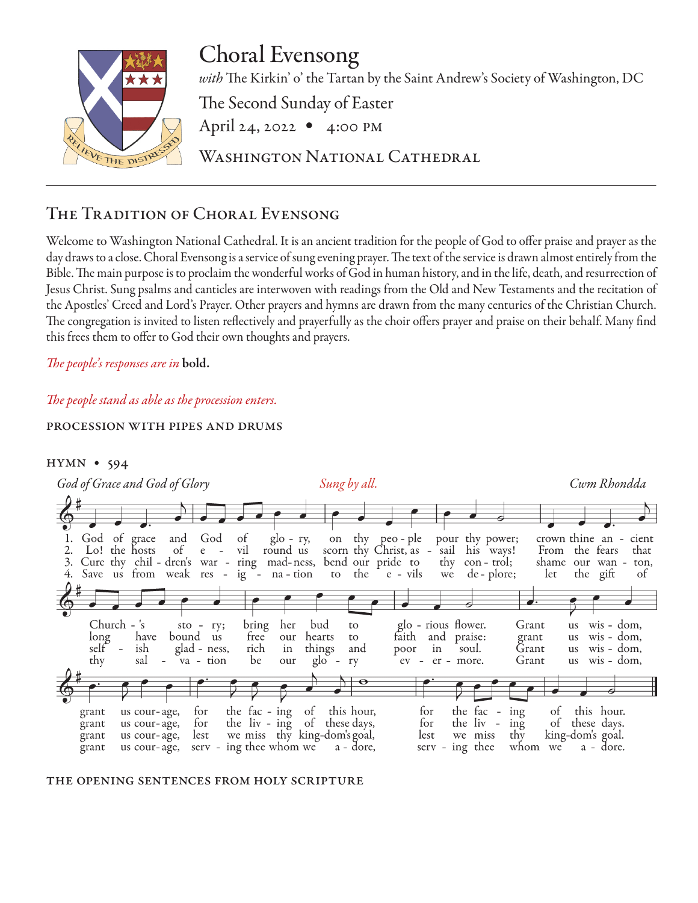

# Choral Evensong

*with* The Kirkin' o' the Tartan by the Saint Andrew's Society of Washington, DC

The Second Sunday of Easter

April 24, 2022 • 4:00 pm

Washington National Cathedral

# The Tradition of Choral Evensong

Welcome to Washington National Cathedral. It is an ancient tradition for the people of God to offer praise and prayer as the day draws to a close. Choral Evensong is a service of sung evening prayer. The text of the service is drawn almost entirely from the Bible. The main purpose is to proclaim the wonderful works of God in human history, and in the life, death, and resurrection of Jesus Christ. Sung psalms and canticles are interwoven with readings from the Old and New Testaments and the recitation of the Apostles' Creed and Lord's Prayer. Other prayers and hymns are drawn from the many centuries of the Christian Church. The congregation is invited to listen reflectively and prayerfully as the choir offers prayer and praise on their behalf. Many find this frees them to offer to God their own thoughts and prayers.

*The people's responses are in* bold.

# *The people stand as able as the procession enters.*

# procession with pipes and drums





#### the opening sentences from holy scripture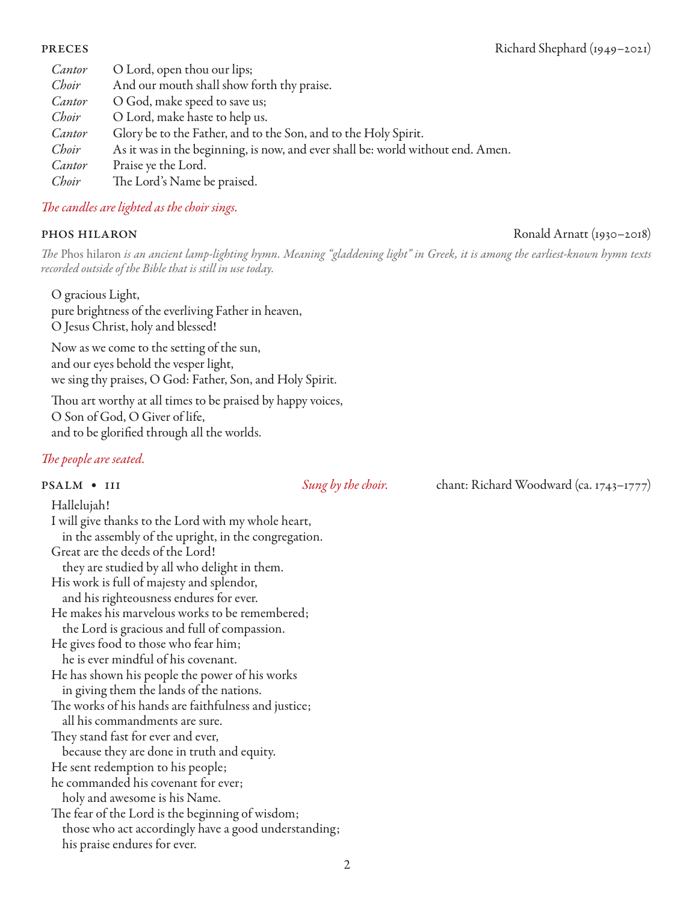| Cantor | O Lord, open thou our lips;                                                     |
|--------|---------------------------------------------------------------------------------|
| Choir  | And our mouth shall show forth thy praise.                                      |
| Cantor | O God, make speed to save us;                                                   |
| Choir  | O Lord, make haste to help us.                                                  |
| Cantor | Glory be to the Father, and to the Son, and to the Holy Spirit.                 |
| Choir  | As it was in the beginning, is now, and ever shall be: world without end. Amen. |
| Cantor | Praise ye the Lord.                                                             |
| Choir  | The Lord's Name be praised.                                                     |

# *The candles are lighted as the choir sings.*

*The* Phos hilaron *is an ancient lamp-lighting hymn. Meaning "gladdening light" in Greek, it is among the earliest-known hymn texts recorded outside of the Bible that is still in use today.*

O gracious Light, pure brightness of the everliving Father in heaven, O Jesus Christ, holy and blessed!

Now as we come to the setting of the sun, and our eyes behold the vesper light, we sing thy praises, O God: Father, Son, and Holy Spirit.

Thou art worthy at all times to be praised by happy voices, O Son of God, O Giver of life, and to be glorified through all the worlds.

# *The people are seated.*

psalm • 111 *Sung by the choir.* chant: Richard Woodward (ca. 1743–1777)

Hallelujah! I will give thanks to the Lord with my whole heart, in the assembly of the upright, in the congregation. Great are the deeds of the Lord! they are studied by all who delight in them. His work is full of majesty and splendor, and his righteousness endures for ever. He makes his marvelous works to be remembered; the Lord is gracious and full of compassion. He gives food to those who fear him; he is ever mindful of his covenant. He has shown his people the power of his works in giving them the lands of the nations. The works of his hands are faithfulness and justice; all his commandments are sure. They stand fast for ever and ever, because they are done in truth and equity. He sent redemption to his people; he commanded his covenant for ever; holy and awesome is his Name. The fear of the Lord is the beginning of wisdom; those who act accordingly have a good understanding; his praise endures for ever.

### phos hilaron Ronald Arnatt (1930–2018)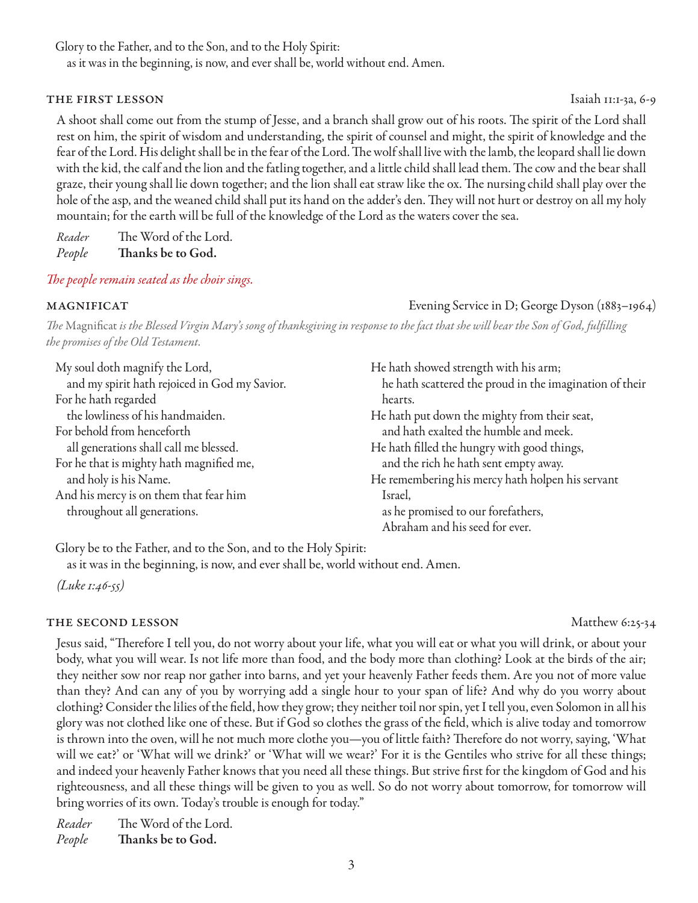Glory to the Father, and to the Son, and to the Holy Spirit:

as it was in the beginning, is now, and ever shall be, world without end. Amen.

### THE FIRST LESSON Isaiah 11:1-3a, 6-9

A shoot shall come out from the stump of Jesse, and a branch shall grow out of his roots. The spirit of the Lord shall rest on him, the spirit of wisdom and understanding, the spirit of counsel and might, the spirit of knowledge and the fear of the Lord. His delight shall be in the fear of the Lord. The wolf shall live with the lamb, the leopard shall lie down with the kid, the calf and the lion and the fatling together, and a little child shall lead them. The cow and the bear shall graze, their young shall lie down together; and the lion shall eat straw like the ox. The nursing child shall play over the hole of the asp, and the weaned child shall put its hand on the adder's den. They will not hurt or destroy on all my holy mountain; for the earth will be full of the knowledge of the Lord as the waters cover the sea.

*Reader* The Word of the Lord. *People* Thanks be to God.

*The people remain seated as the choir sings.*

magnificat Evening Service in D; George Dyson (1883–1964)

*The* Magnificat *is the Blessed Virgin Mary's song of thanksgiving in response to the fact that she will bear the Son of God, fulfilling the promises of the Old Testament.* 

| My soul doth magnify the Lord,<br>and my spirit hath rejoiced in God my Savior. | He hath showed strength with his arm;<br>he hath scattered the proud in the imagination of their |
|---------------------------------------------------------------------------------|--------------------------------------------------------------------------------------------------|
| For he hath regarded                                                            | hearts.                                                                                          |
| the lowliness of his handmaiden.                                                | He hath put down the mighty from their seat,                                                     |
| For behold from henceforth                                                      | and hath exalted the humble and meek.                                                            |
| all generations shall call me blessed.                                          | He hath filled the hungry with good things,                                                      |
| For he that is mighty hath magnified me,                                        | and the rich he hath sent empty away.                                                            |
| and holy is his Name.                                                           | He remembering his mercy hath holpen his servant                                                 |
| And his mercy is on them that fear him                                          | Israel,                                                                                          |
| throughout all generations.                                                     | as he promised to our forefathers,                                                               |
|                                                                                 | Abraham and his seed for ever.                                                                   |

Glory be to the Father, and to the Son, and to the Holy Spirit:

as it was in the beginning, is now, and ever shall be, world without end. Amen.

*(Luke 1:46-55)*

### THE SECOND LESSON Matthew 6:25-34

Jesus said, "Therefore I tell you, do not worry about your life, what you will eat or what you will drink, or about your body, what you will wear. Is not life more than food, and the body more than clothing? Look at the birds of the air; they neither sow nor reap nor gather into barns, and yet your heavenly Father feeds them. Are you not of more value than they? And can any of you by worrying add a single hour to your span of life? And why do you worry about clothing? Consider the lilies of the field, how they grow; they neither toil nor spin, yet I tell you, even Solomon in all his glory was not clothed like one of these. But if God so clothes the grass of the field, which is alive today and tomorrow is thrown into the oven, will he not much more clothe you—you of little faith? Therefore do not worry, saying, 'What will we eat?' or 'What will we drink?' or 'What will we wear?' For it is the Gentiles who strive for all these things; and indeed your heavenly Father knows that you need all these things. But strive first for the kingdom of God and his righteousness, and all these things will be given to you as well. So do not worry about tomorrow, for tomorrow will bring worries of its own. Today's trouble is enough for today."

*Reader* The Word of the Lord. *People* Thanks be to God.

3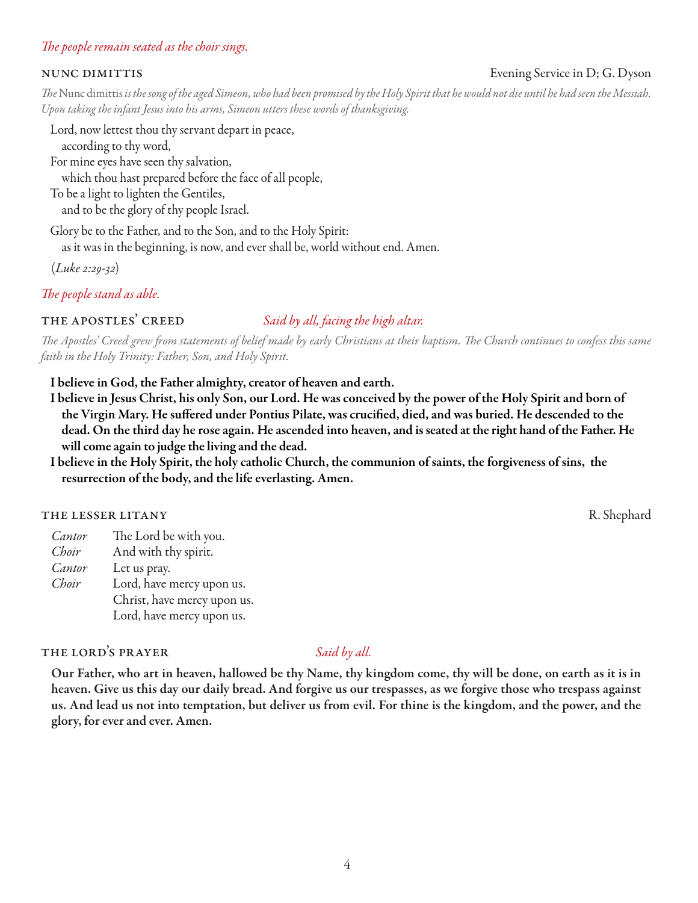### *The people remain seated as the choir sings.*

#### nunc dimittis Evening Service in D; G. Dyson

*The* Nunc dimittis *is the song of the aged Simeon, who had been promised by the Holy Spirit that he would not die until he had seen the Messiah. Upon taking the infant Jesus into his arms, Simeon utters these words of thanksgiving.* 

Lord, now lettest thou thy servant depart in peace, according to thy word, For mine eyes have seen thy salvation, which thou hast prepared before the face of all people, To be a light to lighten the Gentiles,

and to be the glory of thy people Israel.

Glory be to the Father, and to the Son, and to the Holy Spirit:

as it was in the beginning, is now, and ever shall be, world without end. Amen.

(*Luke 2:29-32*)

*The people stand as able.*

#### the apostles' creed *Said by all, facing the high altar.*

*The Apostles' Creed grew from statements of belief made by early Christians at their baptism. The Church continues to confess this same faith in the Holy Trinity: Father, Son, and Holy Spirit.*

I believe in God, the Father almighty, creator of heaven and earth.

- I believe in Jesus Christ, his only Son, our Lord. He was conceived by the power of the Holy Spirit and born of the Virgin Mary. He suffered under Pontius Pilate, was crucified, died, and was buried. He descended to the dead. On the third day he rose again. He ascended into heaven, and is seated at the right hand of the Father. He will come again to judge the living and the dead.
- I believe in the Holy Spirit, the holy catholic Church, the communion of saints, the forgiveness of sins, the resurrection of the body, and the life everlasting. Amen.

### THE LESSER LITANY RESOLUTION CONTROL IN THE LESSER LITANY RESOLUTION CONTROL IN THE LESSER LITANY

*Cantor* The Lord be with you. *Choir* And with thy spirit. *Cantor* Let us pray. *Choir* Lord, have mercy upon us. Christ, have mercy upon us. Lord, have mercy upon us.

# THE LORD'S PRAYER *Said by all.*

Our Father, who art in heaven, hallowed be thy Name, thy kingdom come, thy will be done, on earth as it is in heaven. Give us this day our daily bread. And forgive us our trespasses, as we forgive those who trespass against us. And lead us not into temptation, but deliver us from evil. For thine is the kingdom, and the power, and the glory, for ever and ever. Amen.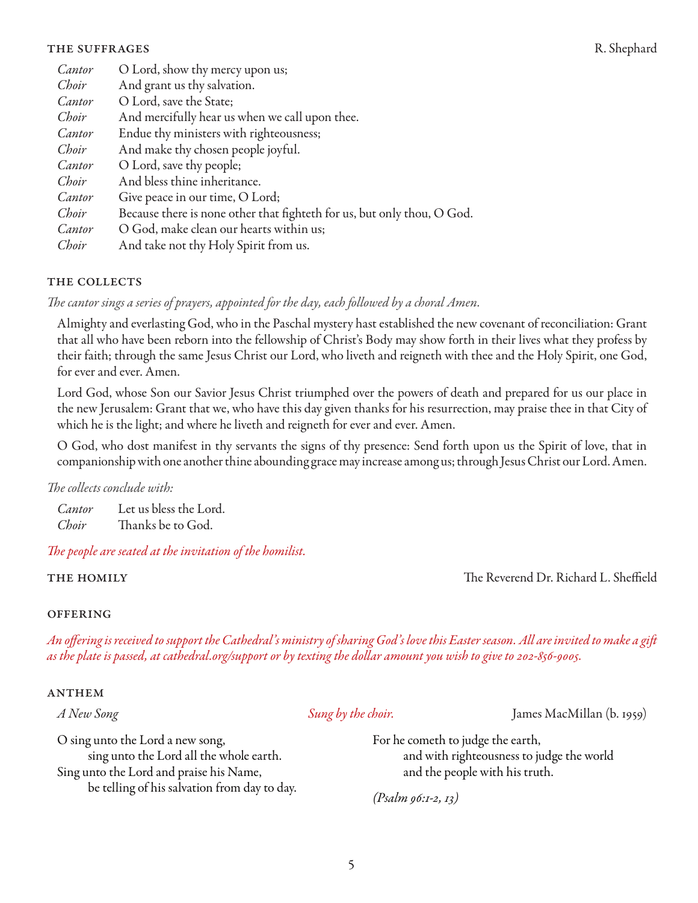#### THE SUFFRAGES R. Shephard

| Cantor | O Lord, show thy mercy upon us;                                         |
|--------|-------------------------------------------------------------------------|
| Choir  | And grant us thy salvation.                                             |
| Cantor | O Lord, save the State;                                                 |
| Choir  | And mercifully hear us when we call upon thee.                          |
| Cantor | Endue thy ministers with righteousness;                                 |
| Choir  | And make thy chosen people joyful.                                      |
| Cantor | O Lord, save thy people;                                                |
| Choir  | And bless thine inheritance.                                            |
| Cantor | Give peace in our time, O Lord;                                         |
| Choir  | Because there is none other that fighteth for us, but only thou, O God. |
| Cantor | O God, make clean our hearts within us;                                 |
| Choir  | And take not thy Holy Spirit from us.                                   |
|        |                                                                         |

#### THE COLLECTS

*The cantor sings a series of prayers, appointed for the day, each followed by a choral Amen.* 

Almighty and everlasting God, who in the Paschal mystery hast established the new covenant of reconciliation: Grant that all who have been reborn into the fellowship of Christ's Body may show forth in their lives what they profess by their faith; through the same Jesus Christ our Lord, who liveth and reigneth with thee and the Holy Spirit, one God, for ever and ever. Amen.

Lord God, whose Son our Savior Jesus Christ triumphed over the powers of death and prepared for us our place in the new Jerusalem: Grant that we, who have this day given thanks for his resurrection, may praise thee in that City of which he is the light; and where he liveth and reigneth for ever and ever. Amen.

O God, who dost manifest in thy servants the signs of thy presence: Send forth upon us the Spirit of love, that in companionship with one another thine abounding grace may increase among us; through Jesus Christ our Lord. Amen.

*The collects conclude with:* 

*Cantor* Let us bless the Lord. *Choir* Thanks be to God.

#### *The people are seated at the invitation of the homilist.*

the homily The Reverend Dr. Richard L. Sheffield

#### **OFFERING**

*An offering is received to support the Cathedral's ministry of sharing God's love this Easter season. All are invited to make a gift as the plate is passed, at cathedral.org/support or by texting the dollar amount you wish to give to 202-856-9005.*

#### **ANTHEM**

*A New Song Sung by the choir.* James MacMillan (b. 1959)

O sing unto the Lord a new song, sing unto the Lord all the whole earth. Sing unto the Lord and praise his Name, be telling of his salvation from day to day. For he cometh to judge the earth, and with righteousness to judge the world and the people with his truth.

*(Psalm 96:1-2, 13)*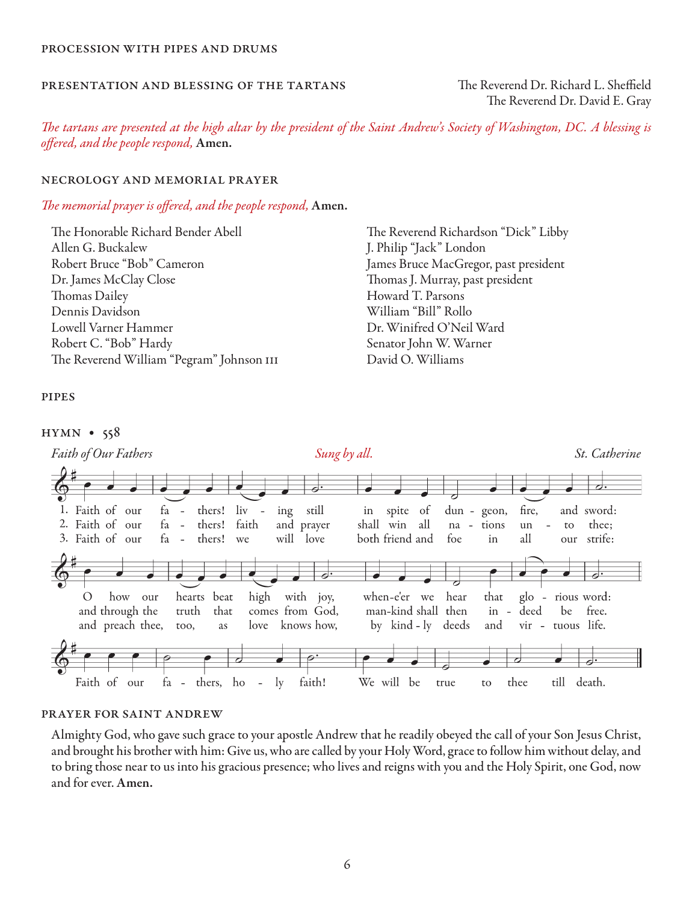### Presentation and Blessing of the Tartans The Reverend Dr. Richard L. Sheffield

The Reverend Dr. David E. Gray

*The tartans are presented at the high altar by the president of the Saint Andrew's Society of Washington, DC. A blessing is offered, and the people respond,* Amen.

#### Necrology and Memorial Prayer

#### *The memorial prayer is offered, and the people respond,* Amen.

The Honorable Richard Bender Abell Allen G. Buckalew Robert Bruce "Bob" Cameron Dr. James McClay Close Thomas Dailey Dennis Davidson Lowell Varner Hammer Robert C. "Bob" Hardy The Reverend William "Pegram" Johnson III The Reverend Richardson "Dick" Libby J. Philip "Jack" London James Bruce MacGregor, past president Thomas J. Murray, past president Howard T. Parsons William "Bill" Rollo Dr. Winifred O'Neil Ward Senator John W. Warner David O. Williams

#### **PIPES**

#### hymn • 558



### Prayer for Saint Andrew

Almighty God, who gave such grace to your apostle Andrew that he readily obeyed the call of your Son Jesus Christ, and brought his brother with him: Give us, who are called by your Holy Word, grace to follow him without delay, and to bring those near to us into his gracious presence; who lives and reigns with you and the Holy Spirit, one God, now and for ever. Amen.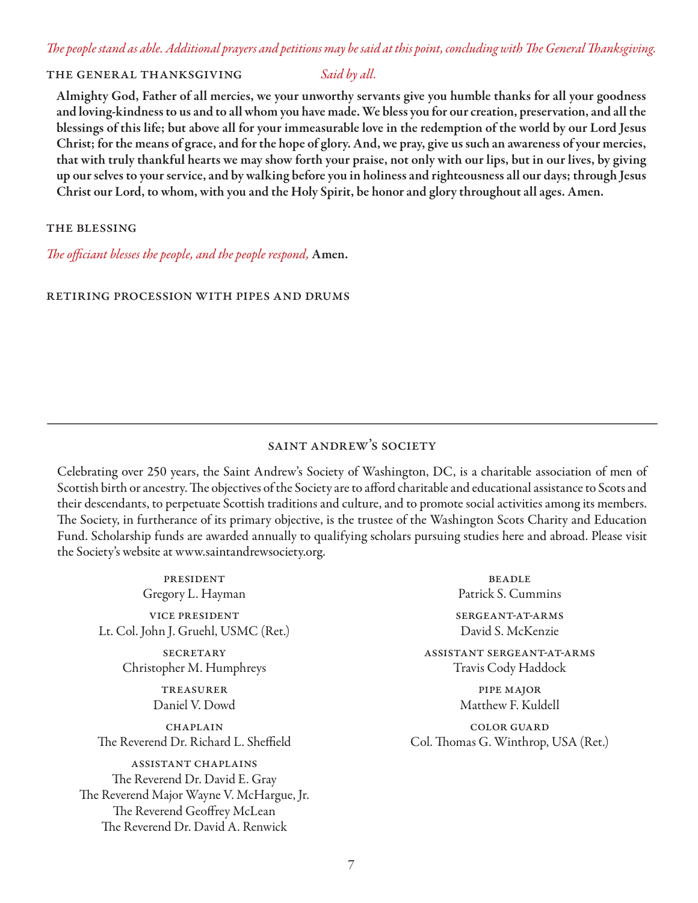# *The people stand as able. Additional prayers and petitions may be said at this point, concluding with The General Thanksgiving.*

#### THE GENERAL THANKSGIVING *Said by all.*

Almighty God, Father of all mercies, we your unworthy servants give you humble thanks for all your goodness and loving-kindness to us and to all whom you have made. We bless you for our creation, preservation, and all the blessings of this life; but above all for your immeasurable love in the redemption of the world by our Lord Jesus Christ; for the means of grace, and for the hope of glory. And, we pray, give us such an awareness of your mercies, that with truly thankful hearts we may show forth your praise, not only with our lips, but in our lives, by giving up our selves to your service, and by walking before you in holiness and righteousness all our days; through Jesus Christ our Lord, to whom, with you and the Holy Spirit, be honor and glory throughout all ages. Amen.

#### the blessing

*The officiant blesses the people, and the people respond,* Amen.

#### retiring procession with pipes and drums

# saint andrew's society

Celebrating over 250 years, the Saint Andrew's Society of Washington, DC, is a charitable association of men of Scottish birth or ancestry. The objectives of the Society are to afford charitable and educational assistance to Scots and their descendants, to perpetuate Scottish traditions and culture, and to promote social activities among its members. The Society, in furtherance of its primary objective, is the trustee of the Washington Scots Charity and Education Fund. Scholarship funds are awarded annually to qualifying scholars pursuing studies here and abroad. Please visit the Society's website at www.saintandrewsociety.org.

president Gregory L. Hayman vice president Lt. Col. John J. Gruehl, USMC (Ret.)

> **SECRETARY** Christopher M. Humphreys

> > treasurer Daniel V. Dowd

**CHAPLAIN** The Reverend Dr. Richard L. Sheffield

assistant chaplains The Reverend Dr. David E. Gray The Reverend Major Wayne V. McHargue, Jr. The Reverend Geoffrey McLean The Reverend Dr. David A. Renwick

**BEADLE** Patrick S. Cummins sergeant-at-arms

David S. McKenzie

assistant sergeant-at-arms Travis Cody Haddock

> pipe major Matthew F. Kuldell

color guard Col. Thomas G. Winthrop, USA (Ret.)